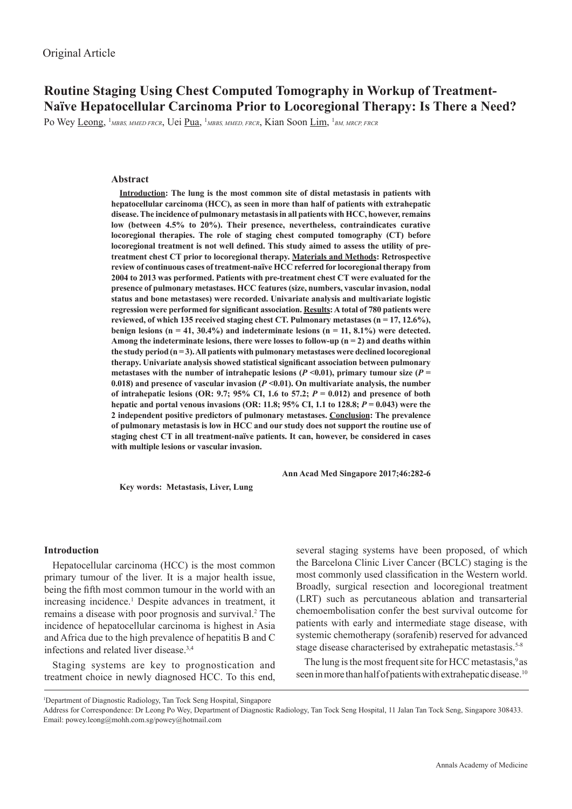**Routine Staging Using Chest Computed Tomography in Workup of Treatment-Naïve Hepatocellular Carcinoma Prior to Locoregional Therapy: Is There a Need?**

Po Wey <u>Leong</u>, <sup>1</sup>мввs, ммер frcr, Uei <u>Pua</u>, <sup>1</sup>мввs, ммер, frcr, Kian Soon <u>Lim,</u> <sup>1</sup>вм, мrcp, frcr

## **Abstract**

**Introduction: The lung is the most common site of distal metastasis in patients with hepatocellular carcinoma (HCC), as seen in more than half of patients with extrahepatic disease. The incidence of pulmonary metastasis in all patients with HCC, however, remains low (between 4.5% to 20%). Their presence, nevertheless, contraindicates curative locoregional therapies. The role of staging chest computed tomography (CT) before locoregional treatment is not well defined. This study aimed to assess the utility of pretreatment chest CT prior to locoregional therapy. Materials and Methods: Retrospective review of continuous cases of treatment-naïve HCC referred for locoregional therapy from 2004 to 2013 was performed. Patients with pre-treatment chest CT were evaluated for the presence of pulmonary metastases. HCC features (size, numbers, vascular invasion, nodal status and bone metastases) were recorded. Univariate analysis and multivariate logistic regression were performed for significant association. Results: A total of 780 patients were**  reviewed, of which 135 received staging chest CT. Pulmonary metastases (n = 17, 12.6%), benign lesions ( $n = 41, 30.4\%$ ) and indeterminate lesions ( $n = 11, 8.1\%$ ) were detected. Among the indeterminate lesions, there were losses to follow-up  $(n = 2)$  and deaths within **the study period (n = 3). All patients with pulmonary metastases were declined locoregional therapy. Univariate analysis showed statistical significant association between pulmonary**  metastases with the number of intrahepatic lesions ( $P$  <0.01), primary tumour size ( $P$  = 0.018) and presence of vascular invasion  $(P \le 0.01)$ . On multivariate analysis, the number of intrahepatic lesions (OR: 9.7; 95% CI, 1.6 to 57.2;  $P = 0.012$ ) and presence of both **hepatic and portal venous invasions (OR: 11.8; 95% CI, 1.1 to 128.8;** *P* **= 0.043) were the 2 independent positive predictors of pulmonary metastases. Conclusion: The prevalence of pulmonary metastasis is low in HCC and our study does not support the routine use of staging chest CT in all treatment-naïve patients. It can, however, be considered in cases with multiple lesions or vascular invasion.**

**Key words: Metastasis, Liver, Lung**

 **Ann Acad Med Singapore 2017;46:282-6**

# **Introduction**

Hepatocellular carcinoma (HCC) is the most common primary tumour of the liver. It is a major health issue, being the fifth most common tumour in the world with an increasing incidence.<sup>1</sup> Despite advances in treatment, it remains a disease with poor prognosis and survival.<sup>2</sup> The incidence of hepatocellular carcinoma is highest in Asia and Africa due to the high prevalence of hepatitis B and C infections and related liver disease.3,4

Staging systems are key to prognostication and treatment choice in newly diagnosed HCC. To this end, several staging systems have been proposed, of which the Barcelona Clinic Liver Cancer (BCLC) staging is the most commonly used classification in the Western world. Broadly, surgical resection and locoregional treatment (LRT) such as percutaneous ablation and transarterial chemoembolisation confer the best survival outcome for patients with early and intermediate stage disease, with systemic chemotherapy (sorafenib) reserved for advanced stage disease characterised by extrahepatic metastasis.<sup>5-8</sup>

The lung is the most frequent site for HCC metastasis,<sup>9</sup> as seen in more than half of patients with extrahepatic disease.<sup>10</sup>

1 Department of Diagnostic Radiology, Tan Tock Seng Hospital, Singapore

Address for Correspondence: Dr Leong Po Wey, Department of Diagnostic Radiology, Tan Tock Seng Hospital, 11 Jalan Tan Tock Seng, Singapore 308433. Email: powey.leong@mohh.com.sg/powey@hotmail.com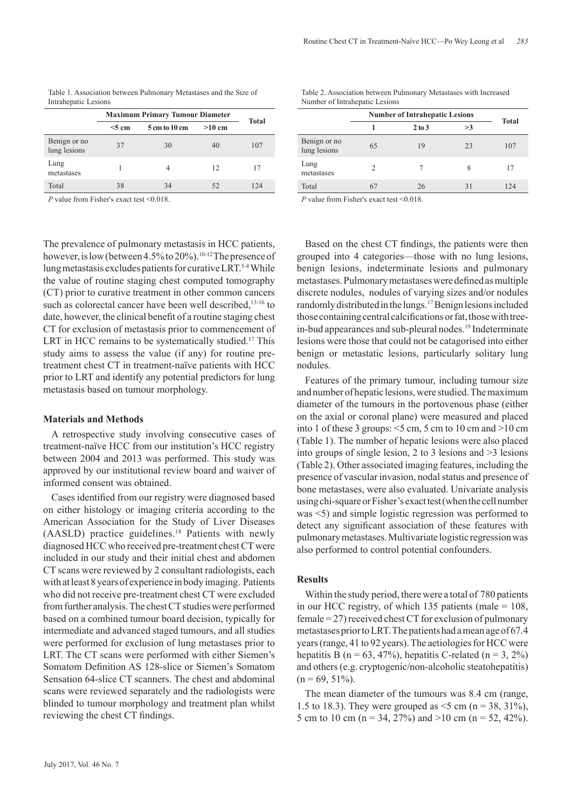| Table 1. Association between Pulmonary Metastases and the Size of |  |
|-------------------------------------------------------------------|--|
| Intrahepatic Lesions                                              |  |

|                              | <b>Maximum Primary Tumour Diameter</b> |               |          | <b>Total</b> |
|------------------------------|----------------------------------------|---------------|----------|--------------|
|                              | $<$ 5 cm                               | 5 cm to 10 cm | $>10$ cm |              |
| Benign or no<br>lung lesions | 37                                     | 30            | 40       | 107          |
| Lung<br>metastases           |                                        | 4             | 12       | 17           |
| Total                        | 38                                     | 34            | 52       | 124          |

*P* value from Fisher's exact test <0.018

The prevalence of pulmonary metastasis in HCC patients, however, is low (between  $4.5\%$  to  $20\%$ ).<sup>10-12</sup> The presence of lung metastasis excludes patients for curative LRT.<sup>5-8</sup> While the value of routine staging chest computed tomography (CT) prior to curative treatment in other common cancers such as colorectal cancer have been well described,<sup>13-16</sup> to date, however, the clinical benefit of a routine staging chest CT for exclusion of metastasis prior to commencement of LRT in HCC remains to be systematically studied.<sup>17</sup> This study aims to assess the value (if any) for routine pretreatment chest CT in treatment-naïve patients with HCC prior to LRT and identify any potential predictors for lung metastasis based on tumour morphology.

### **Materials and Methods**

A retrospective study involving consecutive cases of treatment-naïve HCC from our institution's HCC registry between 2004 and 2013 was performed. This study was approved by our institutional review board and waiver of informed consent was obtained.

Cases identified from our registry were diagnosed based on either histology or imaging criteria according to the American Association for the Study of Liver Diseases (AASLD) practice guidelines.<sup>18</sup> Patients with newly diagnosed HCC who received pre-treatment chest CT were included in our study and their initial chest and abdomen CT scans were reviewed by 2 consultant radiologists, each with at least 8 years of experience in body imaging. Patients who did not receive pre-treatment chest CT were excluded from further analysis. The chest CT studies were performed based on a combined tumour board decision, typically for intermediate and advanced staged tumours, and all studies were performed for exclusion of lung metastases prior to LRT. The CT scans were performed with either Siemen's Somatom Definition AS 128-slice or Siemen's Somatom Sensation 64-slice CT scanners. The chest and abdominal scans were reviewed separately and the radiologists were blinded to tumour morphology and treatment plan whilst reviewing the chest CT findings.

| Table 2. Association between Pulmonary Metastases with Increased |  |  |
|------------------------------------------------------------------|--|--|
| Number of Intrahepatic Lesions                                   |  |  |

|                              |    | <b>Number of Intrahepatic Lesions</b> | <b>Total</b> |     |
|------------------------------|----|---------------------------------------|--------------|-----|
|                              |    | 2 to 3                                | >3           |     |
| Benign or no<br>lung lesions | 65 | 19                                    | 23           | 107 |
| Lung<br>metastases           | 2  |                                       | 8            | 17  |
| Total                        | 67 | 26                                    | 31           | 124 |

*P* value from Fisher's exact test < 0.018.

Based on the chest CT findings, the patients were then grouped into 4 categories—those with no lung lesions, benign lesions, indeterminate lesions and pulmonary metastases. Pulmonary metastases were defined as multiple discrete nodules, nodules of varying sizes and/or nodules randomly distributed in the lungs.<sup>17</sup> Benign lesions included those containing central calcifications or fat, those with treein-bud appearances and sub-pleural nodes.<sup>19</sup> Indeterminate lesions were those that could not be catagorised into either benign or metastatic lesions, particularly solitary lung nodules.

Features of the primary tumour, including tumour size and number of hepatic lesions, were studied. The maximum diameter of the tumours in the portovenous phase (either on the axial or coronal plane) were measured and placed into 1 of these 3 groups:  $\le$ 5 cm, 5 cm to 10 cm and  $>$ 10 cm (Table 1). The number of hepatic lesions were also placed into groups of single lesion, 2 to 3 lesions and >3 lesions (Table 2). Other associated imaging features, including the presence of vascular invasion, nodal status and presence of bone metastases, were also evaluated. Univariate analysis using chi-square or Fisher's exact test (when the cell number was <5) and simple logistic regression was performed to detect any significant association of these features with pulmonary metastases. Multivariate logistic regression was also performed to control potential confounders.

### **Results**

Within the study period, there were a total of 780 patients in our HCC registry, of which 135 patients (male  $= 108$ , female = 27) received chest CT for exclusion of pulmonary metastases prior to LRT. The patients had a mean age of 67.4 years (range, 41 to 92 years). The aetiologies for HCC were hepatitis B (n = 63, 47%), hepatitis C-related (n = 3, 2%) and others (e.g. cryptogenic/non-alcoholic steatohepatitis)  $(n = 69, 51\%)$ .

The mean diameter of the tumours was 8.4 cm (range, 1.5 to 18.3). They were grouped as  $\leq$  5 cm (n = 38, 31%), 5 cm to 10 cm (n = 34, 27%) and >10 cm (n = 52, 42%).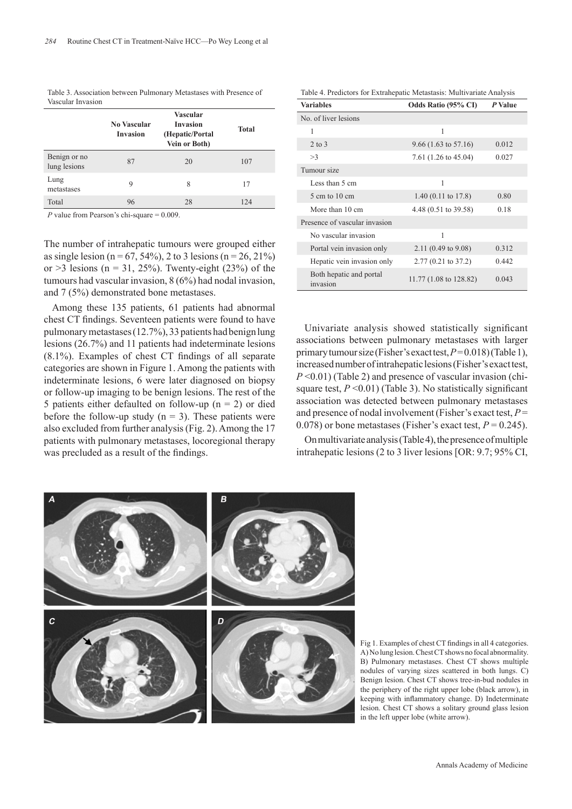| Table 3. Association between Pulmonary Metastases with Presence of |  |
|--------------------------------------------------------------------|--|
| Vascular Invasion                                                  |  |

|                              | <b>No Vascular</b><br><b>Invasion</b> | Vascular<br><b>Invasion</b><br>(Hepatic/Portal<br>Vein or Both) | <b>Total</b> |
|------------------------------|---------------------------------------|-----------------------------------------------------------------|--------------|
| Benign or no<br>lung lesions | 87                                    | 20                                                              | 107          |
| Lung<br>metastases           | 9                                     | 8                                                               | 17           |
| Total                        | 96<br>.                               | 28                                                              | 124          |

*P* value from Pearson's chi-square = 0.009.

The number of intrahepatic tumours were grouped either as single lesion ( $n = 67, 54\%$ ), 2 to 3 lesions ( $n = 26, 21\%$ ) or  $>3$  lesions (n = 31, 25%). Twenty-eight (23%) of the tumours had vascular invasion, 8 (6%) had nodal invasion, and 7 (5%) demonstrated bone metastases.

Among these 135 patients, 61 patients had abnormal chest CT findings. Seventeen patients were found to have pulmonary metastases (12.7%), 33 patients had benign lung lesions (26.7%) and 11 patients had indeterminate lesions (8.1%). Examples of chest CT findings of all separate categories are shown in Figure 1. Among the patients with indeterminate lesions, 6 were later diagnosed on biopsy or follow-up imaging to be benign lesions. The rest of the 5 patients either defaulted on follow-up ( $n = 2$ ) or died before the follow-up study  $(n = 3)$ . These patients were also excluded from further analysis (Fig. 2). Among the 17 patients with pulmonary metastases, locoregional therapy was precluded as a result of the findings.

|  | Table 4. Predictors for Extrahepatic Metastasis: Multivariate Analysis |  |  |
|--|------------------------------------------------------------------------|--|--|
|--|------------------------------------------------------------------------|--|--|

| <b>Variables</b>                    | <b>Odds Ratio (95% CI)</b>      | P Value |
|-------------------------------------|---------------------------------|---------|
| No. of liver lesions                |                                 |         |
| 1                                   | 1                               |         |
| $2$ to $3$                          | $9.66(1.63 \text{ to } 57.16)$  | 0.012   |
| >3                                  | 7.61 $(1.26 \text{ to } 45.04)$ | 0.027   |
| Tumour size                         |                                 |         |
| Less than 5 cm                      | 1                               |         |
| $5 \text{ cm}$ to $10 \text{ cm}$   | $1.40(0.11 \text{ to } 17.8)$   | 0.80    |
| More than 10 cm                     | 4.48 (0.51 to 39.58)            | 0.18    |
| Presence of vascular invasion       |                                 |         |
| No vascular invasion                | 1                               |         |
| Portal vein invasion only           | 2.11 $(0.49 \text{ to } 9.08)$  | 0.312   |
| Hepatic vein invasion only          | $2.77(0.21 \text{ to } 37.2)$   | 0.442   |
| Both hepatic and portal<br>invasion | 11.77 (1.08 to 128.82)          | 0.043   |

Univariate analysis showed statistically significant associations between pulmonary metastases with larger primary tumour size (Fisher's exact test, *P* = 0.018) (Table 1), increased number of intrahepatic lesions (Fisher's exact test, *P* <0.01) (Table 2) and presence of vascular invasion (chisquare test,  $P \le 0.01$ ) (Table 3). No statistically significant association was detected between pulmonary metastases and presence of nodal involvement (Fisher's exact test, *P* = 0.078) or bone metastases (Fisher's exact test,  $P = 0.245$ ).

On multivariate analysis (Table 4), the presence of multiple intrahepatic lesions (2 to 3 liver lesions [OR: 9.7; 95% CI,



Fig 1. Examples of chest CT findings in all 4 categories. A) No lung lesion. Chest CT shows no focal abnormality. B) Pulmonary metastases. Chest CT shows multiple nodules of varying sizes scattered in both lungs. C) Benign lesion. Chest CT shows tree-in-bud nodules in the periphery of the right upper lobe (black arrow), in keeping with inflammatory change. D) Indeterminate lesion. Chest CT shows a solitary ground glass lesion in the left upper lobe (white arrow).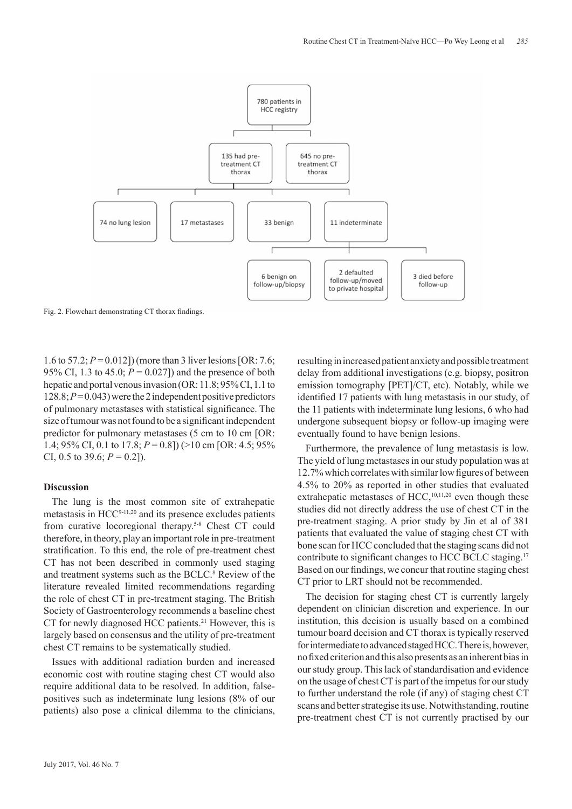

Fig. 2. Flowchart demonstrating CT thorax findings.

1.6 to 57.2; *P* = 0.012]) (more than 3 liver lesions [OR: 7.6; 95% CI, 1.3 to 45.0; *P* = 0.027]) and the presence of both hepatic and portal venous invasion (OR: 11.8; 95% CI, 1.1 to 128.8; *P* = 0.043) were the 2 independent positive predictors of pulmonary metastases with statistical significance. The size of tumour was not found to be a significant independent predictor for pulmonary metastases (5 cm to 10 cm [OR: 1.4; 95% CI, 0.1 to 17.8; *P* = 0.8]) (>10 cm [OR: 4.5; 95% CI, 0.5 to 39.6;  $P = 0.2$ ]).

## **Discussion**

The lung is the most common site of extrahepatic metastasis in HCC9-11,20 and its presence excludes patients from curative locoregional therapy.<sup>5-8</sup> Chest CT could therefore, in theory, play an important role in pre-treatment stratification. To this end, the role of pre-treatment chest CT has not been described in commonly used staging and treatment systems such as the BCLC.<sup>8</sup> Review of the literature revealed limited recommendations regarding the role of chest CT in pre-treatment staging. The British Society of Gastroenterology recommends a baseline chest CT for newly diagnosed HCC patients.<sup>21</sup> However, this is largely based on consensus and the utility of pre-treatment chest CT remains to be systematically studied.

Issues with additional radiation burden and increased economic cost with routine staging chest CT would also require additional data to be resolved. In addition, falsepositives such as indeterminate lung lesions (8% of our patients) also pose a clinical dilemma to the clinicians, resulting in increased patient anxiety and possible treatment delay from additional investigations (e.g. biopsy, positron emission tomography [PET]/CT, etc). Notably, while we identified 17 patients with lung metastasis in our study, of the 11 patients with indeterminate lung lesions, 6 who had undergone subsequent biopsy or follow-up imaging were eventually found to have benign lesions.

Furthermore, the prevalence of lung metastasis is low. The yield of lung metastases in our study population was at 12.7% which correlates with similar low figures of between 4.5% to 20% as reported in other studies that evaluated extrahepatic metastases of HCC,<sup>10,11,20</sup> even though these studies did not directly address the use of chest CT in the pre-treatment staging. A prior study by Jin et al of 381 patients that evaluated the value of staging chest CT with bone scan for HCC concluded that the staging scans did not contribute to significant changes to HCC BCLC staging.<sup>17</sup> Based on our findings, we concur that routine staging chest CT prior to LRT should not be recommended.

The decision for staging chest CT is currently largely dependent on clinician discretion and experience. In our institution, this decision is usually based on a combined tumour board decision and CT thorax is typically reserved for intermediate to advanced staged HCC. There is, however, no fixed criterion and this also presents as an inherent bias in our study group. This lack of standardisation and evidence on the usage of chest CT is part of the impetus for our study to further understand the role (if any) of staging chest CT scans and better strategise its use. Notwithstanding, routine pre-treatment chest CT is not currently practised by our